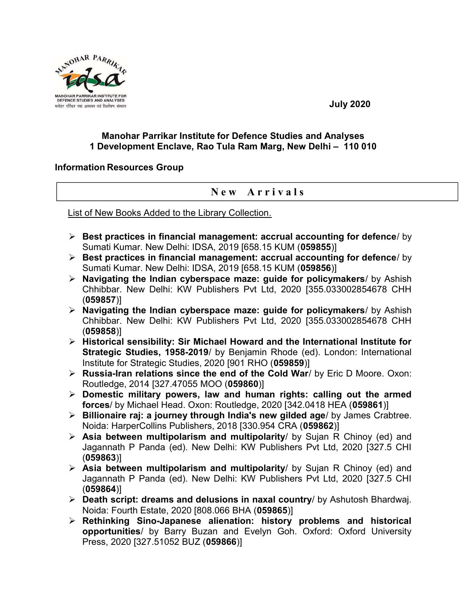

July 2020

## Manohar Parrikar Institute for Defence Studies and Analyses 1 Development Enclave, Rao Tula Ram Marg, New Delhi – 110 010

## Information Resources Group

## New Arrivals

List of New Books Added to the Library Collection.

- $\triangleright$  Best practices in financial management: accrual accounting for defence/ by Sumati Kumar. New Delhi: IDSA, 2019 [658.15 KUM (059855)]
- $\triangleright$  Best practices in financial management: accrual accounting for defence/ by Sumati Kumar. New Delhi: IDSA, 2019 [658.15 KUM (059856)]
- $\triangleright$  Navigating the Indian cyberspace maze: guide for policymakers/ by Ashish Chhibbar. New Delhi: KW Publishers Pvt Ltd, 2020 [355.033002854678 CHH (059857)]
- $\triangleright$  Navigating the Indian cyberspace maze: guide for policymakers/ by Ashish Chhibbar. New Delhi: KW Publishers Pvt Ltd, 2020 [355.033002854678 CHH (059858)]
- $\triangleright$  Historical sensibility: Sir Michael Howard and the International Institute for Strategic Studies, 1958-2019/ by Benjamin Rhode (ed). London: International Institute for Strategic Studies, 2020 [901 RHO (059859)]
- ▶ Russia-Iran relations since the end of the Cold War/ by Eric D Moore. Oxon: Routledge, 2014 [327.47055 MOO (059860)]
- $\triangleright$  Domestic military powers, law and human rights: calling out the armed forces/ by Michael Head. Oxon: Routledge, 2020 [342.0418 HEA (059861)]
- $\triangleright$  Billionaire raj: a journey through India's new gilded age/ by James Crabtree. Noida: HarperCollins Publishers, 2018 [330.954 CRA (059862)]
- $\triangleright$  Asia between multipolarism and multipolarity/ by Sujan R Chinoy (ed) and Jagannath P Panda (ed). New Delhi: KW Publishers Pvt Ltd, 2020 [327.5 CHI (059863)]
- $\triangleright$  Asia between multipolarism and multipolarity/ by Sujan R Chinoy (ed) and Jagannath P Panda (ed). New Delhi: KW Publishers Pvt Ltd, 2020 [327.5 CHI (059864)]
- $\triangleright$  Death script: dreams and delusions in naxal country/ by Ashutosh Bhardwaj. Noida: Fourth Estate, 2020 [808.066 BHA (059865)]
- $\triangleright$  Rethinking Sino-Japanese alienation: history problems and historical opportunities/ by Barry Buzan and Evelyn Goh. Oxford: Oxford University Press, 2020 [327,51052 BUZ (059866)]